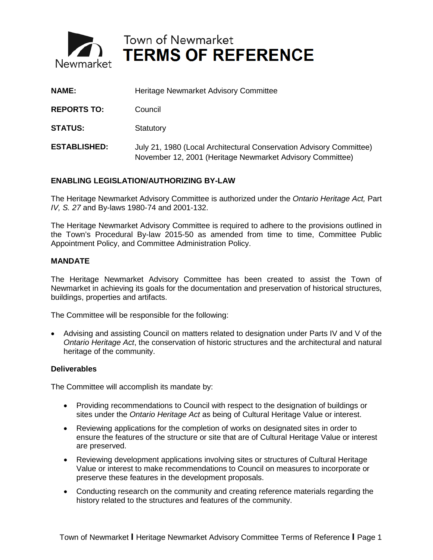

Town of Newmarket<br>Newmarket TERMS OF REFERENCE

| <b>NAME:</b>        | Heritage Newmarket Advisory Committee                                                                                            |
|---------------------|----------------------------------------------------------------------------------------------------------------------------------|
| <b>REPORTS TO:</b>  | Council                                                                                                                          |
| <b>STATUS:</b>      | Statutory                                                                                                                        |
| <b>ESTABLISHED:</b> | July 21, 1980 (Local Architectural Conservation Advisory Committee)<br>November 12, 2001 (Heritage Newmarket Advisory Committee) |

# **ENABLING LEGISLATION/AUTHORIZING BY-LAW**

The Heritage Newmarket Advisory Committee is authorized under the *Ontario Heritage Act,* Part *IV, S. 27* and By-laws 1980-74 and 2001-132.

The Heritage Newmarket Advisory Committee is required to adhere to the provisions outlined in the Town's Procedural By-law 2015-50 as amended from time to time, Committee Public Appointment Policy, and Committee Administration Policy.

# **MANDATE**

The Heritage Newmarket Advisory Committee has been created to assist the Town of Newmarket in achieving its goals for the documentation and preservation of historical structures, buildings, properties and artifacts.

The Committee will be responsible for the following:

• Advising and assisting Council on matters related to designation under Parts IV and V of the *Ontario Heritage Act*, the conservation of historic structures and the architectural and natural heritage of the community.

#### **Deliverables**

The Committee will accomplish its mandate by:

- Providing recommendations to Council with respect to the designation of buildings or sites under the *Ontario Heritage Act* as being of Cultural Heritage Value or interest.
- Reviewing applications for the completion of works on designated sites in order to ensure the features of the structure or site that are of Cultural Heritage Value or interest are preserved.
- Reviewing development applications involving sites or structures of Cultural Heritage Value or interest to make recommendations to Council on measures to incorporate or preserve these features in the development proposals.
- Conducting research on the community and creating reference materials regarding the history related to the structures and features of the community.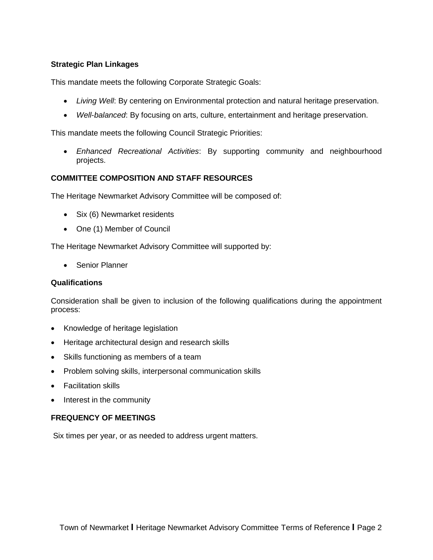# **Strategic Plan Linkages**

This mandate meets the following Corporate Strategic Goals:

- *Living Well*: By centering on Environmental protection and natural heritage preservation.
- *Well*-*balanced*: By focusing on arts, culture, entertainment and heritage preservation.

This mandate meets the following Council Strategic Priorities:

• *Enhanced Recreational Activities*: By supporting community and neighbourhood projects.

# **COMMITTEE COMPOSITION AND STAFF RESOURCES**

The Heritage Newmarket Advisory Committee will be composed of:

- Six (6) Newmarket residents
- One (1) Member of Council

The Heritage Newmarket Advisory Committee will supported by:

• Senior Planner

# **Qualifications**

Consideration shall be given to inclusion of the following qualifications during the appointment process:

- Knowledge of heritage legislation
- Heritage architectural design and research skills
- Skills functioning as members of a team
- Problem solving skills, interpersonal communication skills
- Facilitation skills
- Interest in the community

# **FREQUENCY OF MEETINGS**

Six times per year, or as needed to address urgent matters.